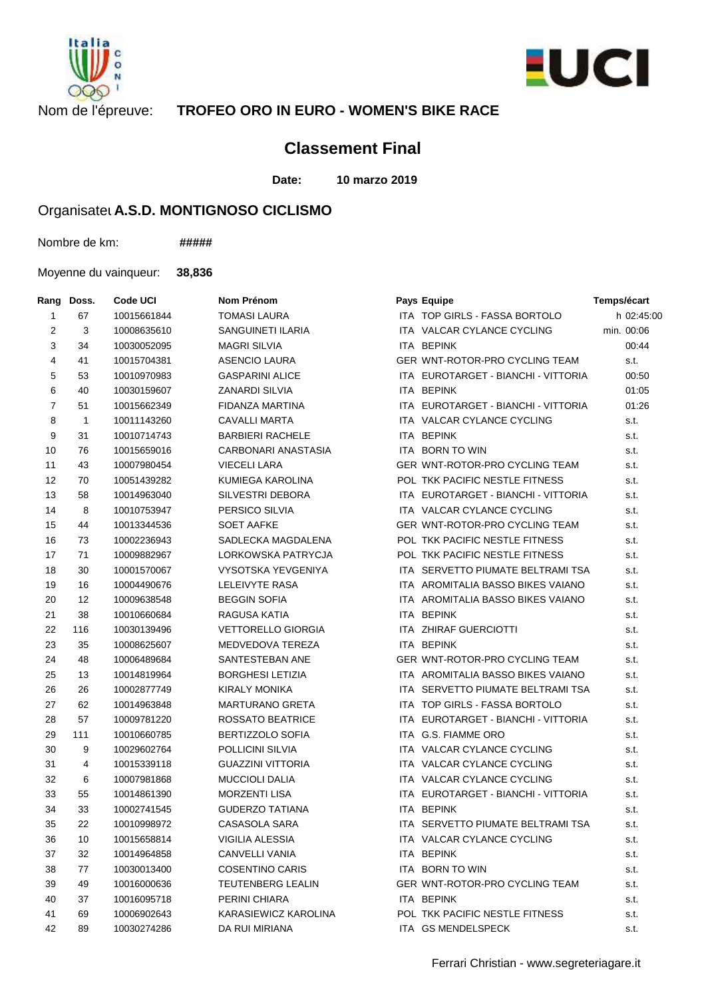



## Nom de l'épreuve: **TROFEO ORO IN EURO - WOMEN'S BIKE RACE**

## **Classement Final**

**Date: 10 marzo 2019**

## Organisatel A.S.D. MONTIGNOSO CICLISMO

Nombre de km: **#####**

Moyenne du vainqueur: **38,836**

| Rang           | Doss.          | Code UCI    | Nom Prénom                | Pays Equipe                           | Temps/écart |
|----------------|----------------|-------------|---------------------------|---------------------------------------|-------------|
| 1              | 67             | 10015661844 | <b>TOMASI LAURA</b>       | ITA TOP GIRLS - FASSA BORTOLO         | h 02:45:00  |
| $\overline{2}$ | 3              | 10008635610 | SANGUINETI ILARIA         | ITA VALCAR CYLANCE CYCLING            | min. 00:06  |
| 3              | 34             | 10030052095 | <b>MAGRI SILVIA</b>       | ITA BEPINK                            | 00:44       |
| 4              | 41             | 10015704381 | <b>ASENCIO LAURA</b>      | GER WNT-ROTOR-PRO CYCLING TEAM        | s.t.        |
| 5              | 53             | 10010970983 | <b>GASPARINI ALICE</b>    | ITA EUROTARGET - BIANCHI - VITTORIA   | 00:50       |
| 6              | 40             | 10030159607 | <b>ZANARDI SILVIA</b>     | <b>ITA BEPINK</b>                     | 01:05       |
| $\overline{7}$ | 51             | 10015662349 | FIDANZA MARTINA           | ITA EUROTARGET - BIANCHI - VITTORIA   | 01:26       |
| 8              | $\overline{1}$ | 10011143260 | <b>CAVALLI MARTA</b>      | ITA VALCAR CYLANCE CYCLING            | s.t.        |
| 9              | 31             | 10010714743 | <b>BARBIERI RACHELE</b>   | ITA BEPINK                            | s.t.        |
| 10             | 76             | 10015659016 | CARBONARI ANASTASIA       | ITA BORN TO WIN                       | s.t.        |
| 11             | 43             | 10007980454 | <b>VIECELI LARA</b>       | GER WNT-ROTOR-PRO CYCLING TEAM        | s.t.        |
| 12             | 70             | 10051439282 | KUMIEGA KAROLINA          | POL TKK PACIFIC NESTLE FITNESS        | s.t.        |
| 13             | 58             | 10014963040 | SILVESTRI DEBORA          | ITA EUROTARGET - BIANCHI - VITTORIA   | s.t.        |
| 14             | 8              | 10010753947 | PERSICO SILVIA            | ITA VALCAR CYLANCE CYCLING            | s.t.        |
| 15             | 44             | 10013344536 | <b>SOET AAFKE</b>         | GER WNT-ROTOR-PRO CYCLING TEAM        | s.t.        |
| 16             | 73             | 10002236943 | SADLECKA MAGDALENA        | <b>POL TKK PACIFIC NESTLE FITNESS</b> | s.t.        |
| 17             | 71             | 10009882967 | LORKOWSKA PATRYCJA        | POL TKK PACIFIC NESTLE FITNESS        | s.t.        |
| 18             | 30             | 10001570067 | VYSOTSKA YEVGENIYA        | ITA SERVETTO PIUMATE BELTRAMI TSA     | s.t.        |
| 19             | 16             | 10004490676 | <b>LELEIVYTE RASA</b>     | ITA AROMITALIA BASSO BIKES VAIANO     | s.t.        |
| 20             | 12             | 10009638548 | <b>BEGGIN SOFIA</b>       | ITA AROMITALIA BASSO BIKES VAIANO     | s.t.        |
| 21             | 38             | 10010660684 | RAGUSA KATIA              | <b>ITA BEPINK</b>                     | s.t.        |
| 22             | 116            | 10030139496 | <b>VETTORELLO GIORGIA</b> | ITA ZHIRAF GUERCIOTTI                 | s.t.        |
| 23             | 35             | 10008625607 | MEDVEDOVA TEREZA          | ITA BEPINK                            | s.t.        |
| 24             | 48             | 10006489684 | SANTESTEBAN ANE           | GER WNT-ROTOR-PRO CYCLING TEAM        | s.t.        |
| 25             | 13             | 10014819964 | <b>BORGHESI LETIZIA</b>   | ITA AROMITALIA BASSO BIKES VAIANO     | s.t.        |
| 26             | 26             | 10002877749 | <b>KIRALY MONIKA</b>      | ITA SERVETTO PIUMATE BELTRAMI TSA     | s.t.        |
| 27             | 62             | 10014963848 | <b>MARTURANO GRETA</b>    | ITA TOP GIRLS - FASSA BORTOLO         | s.t.        |
| 28             | 57             | 10009781220 | ROSSATO BEATRICE          | ITA EUROTARGET - BIANCHI - VITTORIA   | s.t.        |
| 29             | 111            | 10010660785 | BERTIZZOLO SOFIA          | ITA G.S. FIAMME ORO                   | s.t.        |
| 30             | 9              | 10029602764 | POLLICINI SILVIA          | ITA VALCAR CYLANCE CYCLING            | s.t.        |
| 31             | $\overline{4}$ | 10015339118 | <b>GUAZZINI VITTORIA</b>  | ITA VALCAR CYLANCE CYCLING            | s.t.        |
| 32             | 6              | 10007981868 | <b>MUCCIOLI DALIA</b>     | ITA VALCAR CYLANCE CYCLING            | s.t.        |
| 33             | 55             | 10014861390 | <b>MORZENTI LISA</b>      | ITA EUROTARGET - BIANCHI - VITTORIA   | s.t.        |
| 34             | 33             | 10002741545 | <b>GUDERZO TATIANA</b>    | ITA BEPINK                            | s.t.        |
| 35             | 22             | 10010998972 | CASASOLA SARA             | ITA SERVETTO PIUMATE BELTRAMI TSA     | s.t.        |
| 36             | 10             | 10015658814 | VIGILIA ALESSIA           | ITA VALCAR CYLANCE CYCLING            | s.t.        |
| 37             | 32             | 10014964858 | <b>CANVELLI VANIA</b>     | ITA BEPINK                            | s.t.        |
| 38             | 77             | 10030013400 | <b>COSENTINO CARIS</b>    | ITA BORN TO WIN                       | s.t.        |
| 39             | 49             | 10016000636 | TEUTENBERG LEALIN         | GER WNT-ROTOR-PRO CYCLING TEAM        | s.t.        |
| 40             | 37             | 10016095718 | PERINI CHIARA             | ITA BEPINK                            | s.t.        |
| 41             | 69             | 10006902643 | KARASIEWICZ KAROLINA      | POL TKK PACIFIC NESTLE FITNESS        | s.t.        |
| 42             | 89             | 10030274286 | DA RUI MIRIANA            | ITA GS MENDELSPECK                    | s.t.        |